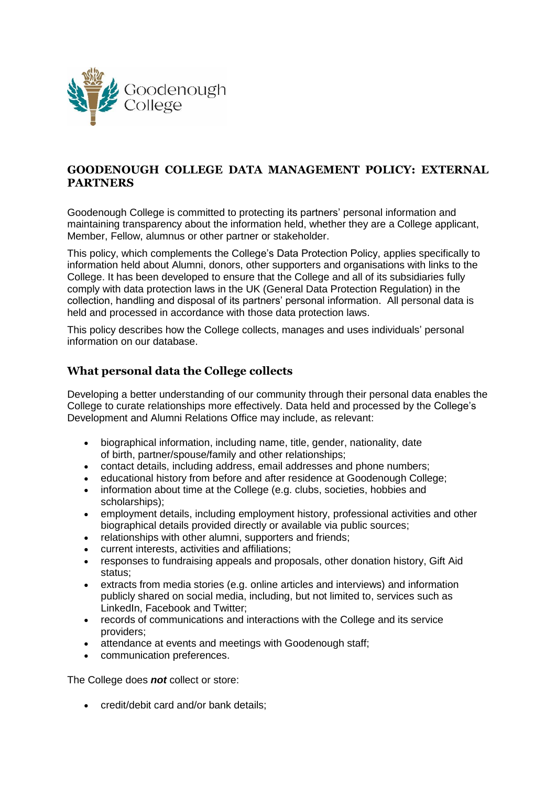

# **GOODENOUGH COLLEGE DATA MANAGEMENT POLICY: EXTERNAL PARTNERS**

Goodenough College is committed to protecting its partners' personal information and maintaining transparency about the information held, whether they are a College applicant, Member, Fellow, alumnus or other partner or stakeholder.

This policy, which complements the College's Data Protection Policy, applies specifically to information held about Alumni, donors, other supporters and organisations with links to the College. It has been developed to ensure that the College and all of its subsidiaries fully comply with data protection laws in the UK (General Data Protection Regulation) in the collection, handling and disposal of its partners' personal information. All personal data is held and processed in accordance with those data protection laws.

This policy describes how the College collects, manages and uses individuals' personal information on our database.

#### **What personal data the College collects**

Developing a better understanding of our community through their personal data enables the College to curate relationships more effectively. Data held and processed by the College's Development and Alumni Relations Office may include, as relevant:

- biographical information, including name, title, gender, nationality, date of birth, partner/spouse/family and other relationships;
- contact details, including address, email addresses and phone numbers;
- educational history from before and after residence at Goodenough College;
- information about time at the College (e.g. clubs, societies, hobbies and scholarships);
- employment details, including employment history, professional activities and other biographical details provided directly or available via public sources;
- relationships with other alumni, supporters and friends:
- current interests, activities and affiliations;
- responses to fundraising appeals and proposals, other donation history, Gift Aid status;
- extracts from media stories (e.g. online articles and interviews) and information publicly shared on social media, including, but not limited to, services such as LinkedIn, Facebook and Twitter;
- records of communications and interactions with the College and its service providers;
- attendance at events and meetings with Goodenough staff:
- communication preferences.

The College does *not* collect or store:

credit/debit card and/or bank details;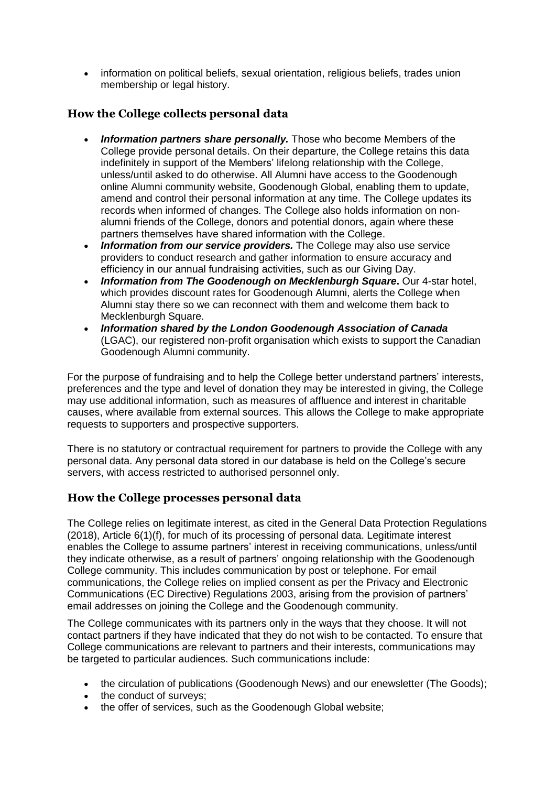• information on political beliefs, sexual orientation, religious beliefs, trades union membership or legal history.

# **How the College collects personal data**

- *Information partners share personally.* Those who become Members of the College provide personal details. On their departure, the College retains this data indefinitely in support of the Members' lifelong relationship with the College, unless/until asked to do otherwise. All Alumni have access to the [Goodenough](https://goodenough.hivebrite.com/)  online [Alumni community](https://goodenough.hivebrite.com/) website, Goodenough Global, enabling them to update, amend and control their personal information at any time. The College updates its records when informed of changes. The College also holds information on nonalumni friends of the College, donors and potential donors, again where these partners themselves have shared information with the College.
- *Information from our service providers.* The College may also use service providers to conduct research and gather information to ensure accuracy and efficiency in our annual fundraising activities, such as our Giving Day.
- *Information from The Goodenough on Mecklenburgh Square***.** Our 4-star hotel, which provides discount rates for Goodenough Alumni, alerts the College when Alumni stay there so we can reconnect with them and welcome them back to Mecklenburgh Square.
- *Information shared by the London Goodenough Association of Canada* (LGAC), our registered non-profit organisation which exists to support the Canadian Goodenough Alumni community.

For the purpose of fundraising and to help the College better understand partners' interests, preferences and the type and level of donation they may be interested in giving, the College may use additional information, such as measures of affluence and interest in charitable causes, where available from external sources. This allows the College to make appropriate requests to supporters and prospective supporters.

There is no statutory or contractual requirement for partners to provide the College with any personal data. Any personal data stored in our database is held on the College's secure servers, with access restricted to authorised personnel only.

#### **How the College processes personal data**

The College relies on legitimate interest, as cited in the General Data Protection Regulations (2018), Article 6(1)(f), for much of its processing of personal data. Legitimate interest enables the College to assume partners' interest in receiving communications, unless/until they indicate otherwise, as a result of partners' ongoing relationship with the Goodenough College community. This includes communication by post or telephone. For email communications, the College relies on implied consent as per the Privacy and Electronic Communications (EC Directive) Regulations 2003, arising from the provision of partners' email addresses on joining the College and the Goodenough community.

The College communicates with its partners only in the ways that they choose. It will not contact partners if they have indicated that they do not wish to be contacted. To ensure that College communications are relevant to partners and their interests, communications may be targeted to particular audiences. Such communications include:

- the circulation of publications (Goodenough News) and our enewsletter (The Goods);
- the conduct of surveys;
- the offer of services, such as the Goodenough Global website;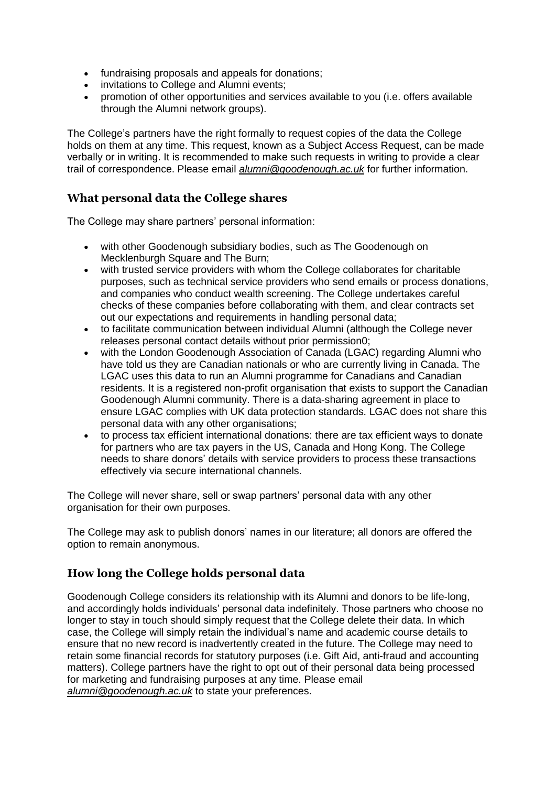- fundraising proposals and appeals for donations;
- invitations to College and Alumni events;
- promotion of other opportunities and services available to you (i.e. offers available through the Alumni network groups).

The College's partners have the right formally to request copies of the data the College holds on them at any time. This request, known as a Subject Access Request, can be made verbally or in writing. It is recommended to make such requests in writing to provide a clear trail of correspondence. Please email *[alumni@goodenough.ac.uk](mailto:alumni@goodenough.ac.uk)* for further information.

### **What personal data the College shares**

The College may share partners' personal information:

- with other Goodenough subsidiary bodies, such as The Goodenough on Mecklenburgh Square and The Burn;
- with trusted service providers with whom the College collaborates for charitable purposes, such as technical service providers who send emails or process donations, and companies who conduct wealth screening. The College undertakes careful checks of these companies before collaborating with them, and clear contracts set out our expectations and requirements in handling personal data;
- to facilitate communication between individual Alumni (although the College never releases personal contact details without prior permission0;
- with the London Goodenough Association of Canada (LGAC) regarding Alumni who have told us they are Canadian nationals or who are currently living in Canada. The LGAC uses this data to run an Alumni programme for Canadians and Canadian residents. It is a registered non-profit organisation that exists to support the Canadian Goodenough Alumni community. There is a data-sharing agreement in place to ensure LGAC complies with UK data protection standards. LGAC does not share this personal data with any other organisations;
- to process tax efficient international donations: there are tax efficient ways to donate for partners who are tax payers in the US, Canada and Hong Kong. The College needs to share donors' details with service providers to process these transactions effectively via secure international channels.

The College will never share, sell or swap partners' personal data with any other organisation for their own purposes.

The College may ask to publish donors' names in our literature; all donors are offered the option to remain anonymous.

# **How long the College holds personal data**

Goodenough College considers its relationship with its Alumni and donors to be life-long, and accordingly holds individuals' personal data indefinitely. Those partners who choose no longer to stay in touch should simply request that the College delete their data. In which case, the College will simply retain the individual's name and academic course details to ensure that no new record is inadvertently created in the future. The College may need to retain some financial records for statutory purposes (i.e. Gift Aid, anti-fraud and accounting matters). College partners have the right to opt out of their personal data being processed for marketing and fundraising purposes at any time. Please email *[alumni@goodenough.ac.uk](mailto:alumni@goodenough.ac.uk)* to state your preferences.